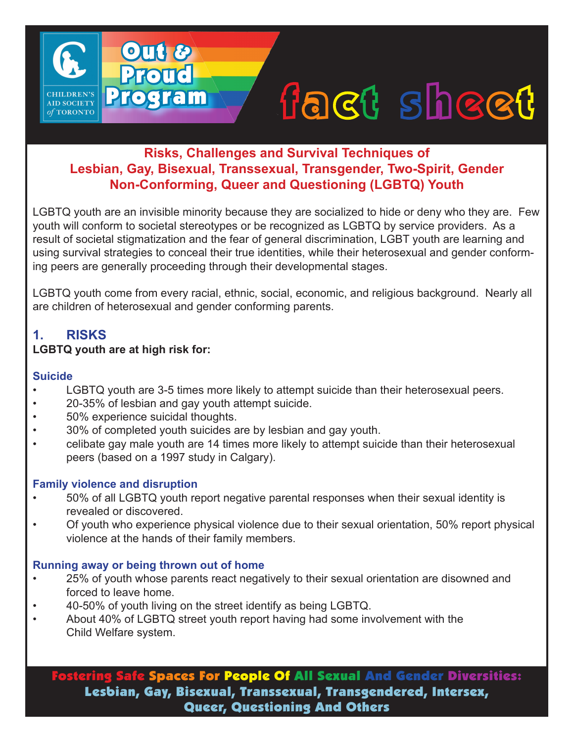# fact sheet

# **Risks, Challenges and Survival Techniques of Lesbian, Gay, Bisexual, Transsexual, Transgender, Two-Spirit, Gender Non-Conforming, Queer and Questioning (LGBTQ) Youth**

LGBTQ youth are an invisible minority because they are socialized to hide or deny who they are. Few youth will conform to societal stereotypes or be recognized as LGBTQ by service providers. As a result of societal stigmatization and the fear of general discrimination, LGBT youth are learning and using survival strategies to conceal their true identities, while their heterosexual and gender conforming peers are generally proceeding through their developmental stages.

LGBTQ youth come from every racial, ethnic, social, economic, and religious background. Nearly all are children of heterosexual and gender conforming parents.

# **1. RISKS**

**AID SOCIETY**  $of$  TORONTO

## **LGBTQ youth are at high risk for:**

#### **Suicide**

- LGBTQ youth are 3-5 times more likely to attempt suicide than their heterosexual peers.
- 20-35% of lesbian and gay youth attempt suicide.

Out &

**Proud** 

Program

- 50% experience suicidal thoughts.
- 30% of completed youth suicides are by lesbian and gay youth.
- celibate gay male youth are 14 times more likely to attempt suicide than their heterosexual peers (based on a 1997 study in Calgary).

## **Family violence and disruption**

- 50% of all LGBTQ youth report negative parental responses when their sexual identity is revealed or discovered.
- Of youth who experience physical violence due to their sexual orientation, 50% report physical violence at the hands of their family members.

## **Running away or being thrown out of home**

- 25% of youth whose parents react negatively to their sexual orientation are disowned and forced to leave home.
- 40-50% of youth living on the street identify as being LGBTQ.
- About 40% of LGBTQ street youth report having had some involvement with the Child Welfare system.

Fostering Safe Spaces For People Of All Sexual And Gender Diversities: Lesbian, Gay, Bisexual, Transsexual, Transgendered, Intersex, Queer, Questioning And Others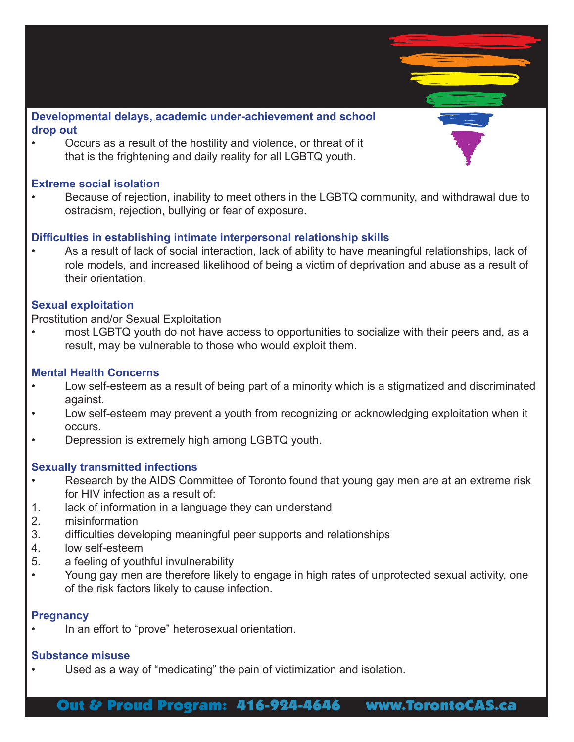

• Occurs as a result of the hostility and violence, or threat of it that is the frightening and daily reality for all LGBTQ youth.

#### **Extreme social isolation**

• Because of rejection, inability to meet others in the LGBTQ community, and withdrawal due to ostracism, rejection, bullying or fear of exposure.

#### **Difficulties in establishing intimate interpersonal relationship skills**

• As a result of lack of social interaction, lack of ability to have meaningful relationships, lack of role models, and increased likelihood of being a victim of deprivation and abuse as a result of their orientation.

#### **Sexual exploitation**

Prostitution and/or Sexual Exploitation

• most LGBTQ youth do not have access to opportunities to socialize with their peers and, as a result, may be vulnerable to those who would exploit them.

#### **Mental Health Concerns**

- Low self-esteem as a result of being part of a minority which is a stigmatized and discriminated against.
- Low self-esteem may prevent a youth from recognizing or acknowledging exploitation when it occurs.
- Depression is extremely high among LGBTQ youth.

#### **Sexually transmitted infections**

- Research by the AIDS Committee of Toronto found that young gay men are at an extreme risk for HIV infection as a result of:
- 1. lack of information in a language they can understand
- 2. misinformation
- 3. difficulties developing meaningful peer supports and relationships
- 4. low self-esteem
- 5. a feeling of youthful invulnerability
- Young gay men are therefore likely to engage in high rates of unprotected sexual activity, one of the risk factors likely to cause infection.

#### **Pregnancy**

In an effort to "prove" heterosexual orientation.

#### **Substance misuse**

• Used as a way of "medicating" the pain of victimization and isolation.

Out & Proud Program: 416-924-4646 www.TorontoCAS.ca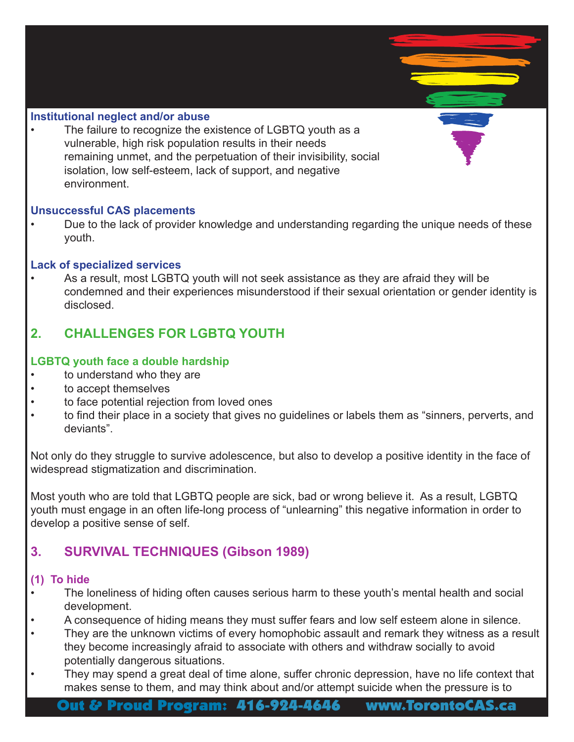#### **Institutional neglect and/or abuse**

The failure to recognize the existence of LGBTQ youth as a vulnerable, high risk population results in their needs remaining unmet, and the perpetuation of their invisibility, social isolation, low self-esteem, lack of support, and negative environment.

#### **Unsuccessful CAS placements**

• Due to the lack of provider knowledge and understanding regarding the unique needs of these youth.

#### **Lack of specialized services**

• As a result, most LGBTQ youth will not seek assistance as they are afraid they will be condemned and their experiences misunderstood if their sexual orientation or gender identity is disclosed.

# **2. CHALLENGES FOR LGBTQ YOUTH**

#### **LGBTQ youth face a double hardship**

- to understand who they are
- to accept themselves
- to face potential rejection from loved ones
- to find their place in a society that gives no guidelines or labels them as "sinners, perverts, and deviants".

Not only do they struggle to survive adolescence, but also to develop a positive identity in the face of widespread stigmatization and discrimination.

Most youth who are told that LGBTQ people are sick, bad or wrong believe it. As a result, LGBTQ youth must engage in an often life-long process of "unlearning" this negative information in order to develop a positive sense of self.

# **3. SURVIVAL TECHNIQUES (Gibson 1989)**

#### **(1) To hide**

- The loneliness of hiding often causes serious harm to these youth's mental health and social development.
- A consequence of hiding means they must suffer fears and low self esteem alone in silence.
- They are the unknown victims of every homophobic assault and remark they witness as a result they become increasingly afraid to associate with others and withdraw socially to avoid potentially dangerous situations.
- They may spend a great deal of time alone, suffer chronic depression, have no life context that makes sense to them, and may think about and/or attempt suicide when the pressure is to